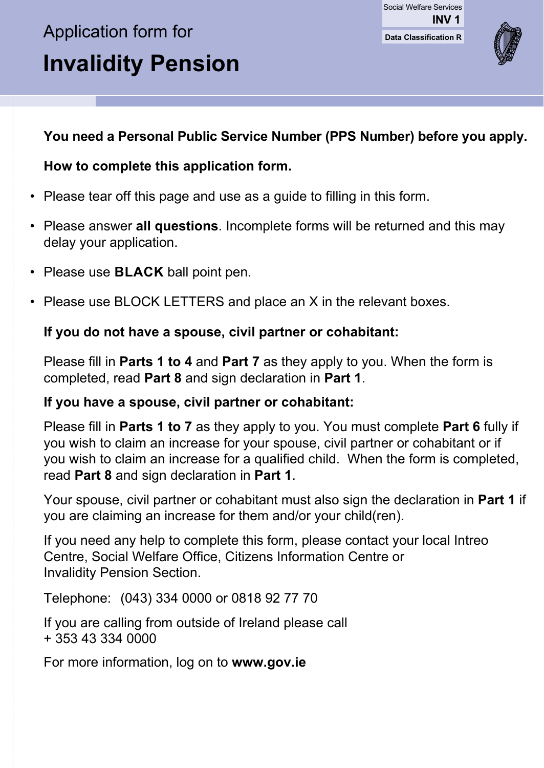# Application form for **Invalidity Pension**

**Data Classification R** Social Welfare Services **INV 1**



#### **You need a Personal Public Service Number (PPS Number) before you apply.**

#### **How to complete this application form.**

- Please tear off this page and use as a guide to filling in this form.
- Please answer **all questions**. Incomplete forms will be returned and this may delay your application.
- Please use **BLACK** ball point pen.
- Please use BLOCK LETTERS and place an X in the relevant boxes.

#### **If you do not have a spouse, civil partner or cohabitant:**

 Please fill in **Parts 1 to 4** and **Part 7** as they apply to you. When the form is completed, read **Part 8** and sign declaration in **Part 1**.

#### **If you have a spouse, civil partner or cohabitant:**

 Please fill in **Parts 1 to 7** as they apply to you. You must complete **Part 6** fully if you wish to claim an increase for your spouse, civil partner or cohabitant or if you wish to claim an increase for a qualified child. When the form is completed, read **Part 8** and sign declaration in **Part 1**.

 Your spouse, civil partner or cohabitant must also sign the declaration in **Part 1** if you are claiming an increase for them and/or your child(ren).

 If you need any help to complete this form, please contact your local Intreo Centre, Social Welfare Office, Citizens Information Centre or Invalidity Pension Section.

Telephone: (043) 334 0000 or 0818 92 77 70

 If you are calling from outside of Ireland please call + 353 43 334 0000

For more information, log on to **www.gov.ie**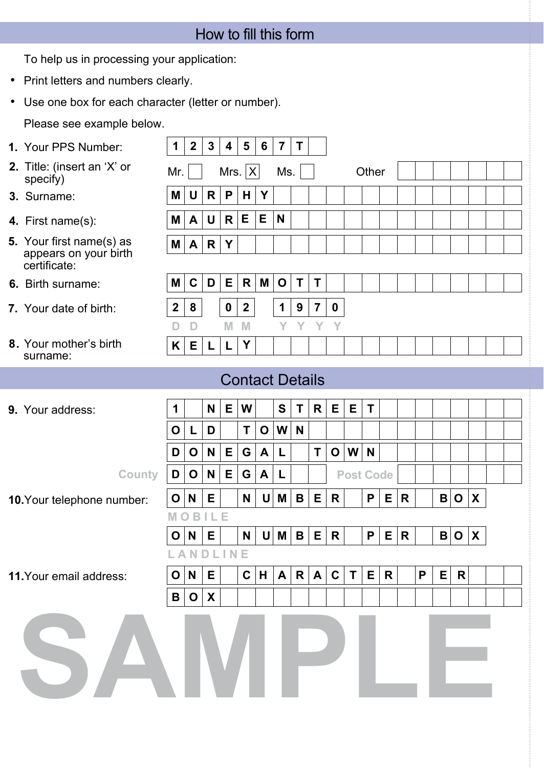| How to fill this form |  |  |
|-----------------------|--|--|
|                       |  |  |

To help us in processing your application:

- Print letters and numbers clearly.
- Use one box for each character (letter or number).

Please see example below.

**1 2 3 4 5 6 7 T M U R P H Y M A U R E E N M C D E R M O T T 1 N E W S T R E E T O L D T O W N D O N E G A L T O W N L A N D L I N E M O B I L E 2 8 0 2 1 9 7 0 O N E C H A R A C T E R P E R**  $B|O|X$ **1.** Your PPS Number: **3.** Surname: **7.** Your date of birth: **4.** First name(s):  **D D M M Y Y Y Y 2.** Title: (insert an 'X' or  $Mr. \Box$  Mrs.  $\overline{X}$  Ms.  $\Box$  Other specify) **6.** Birth surname: **5.** Your first name(s) as appears on your birth certificate: **10.**Your telephone number: **11.**Your email address: Contact Details **9.** Your address: Mrs.  $|X|$ **M A R Y 8.** Your mother's birth surname: **K E L L Y O N E N U M B E R P E R B O X O N E N U M B E R P E R B O X**  $County$   $\vert D \vert O \vert N \vert E \vert G \vert A \vert L \vert$  | Post Code **SAMPLE**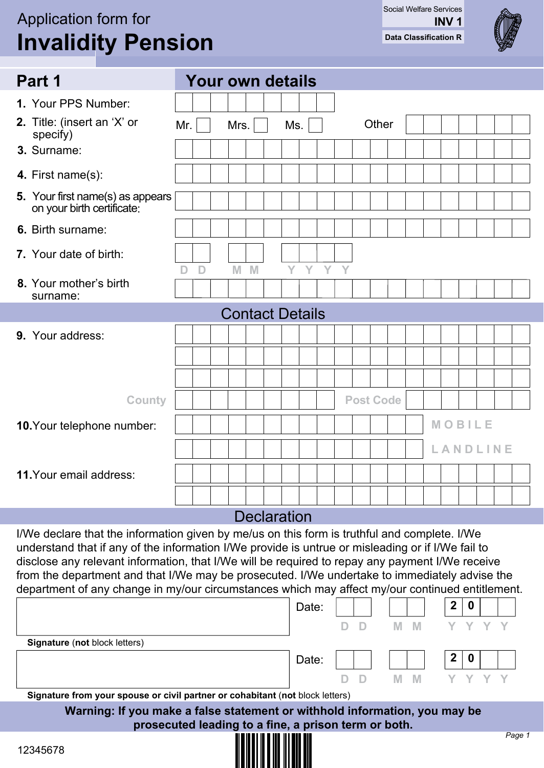## Application form for **Invalidity Pension**

**Data Classification R** Social Welfare Services **INV 1**



| Part 1                                                         |     | <b>Your own details</b> |          |              |                        |              |     |  |                  |  |        |          |  |
|----------------------------------------------------------------|-----|-------------------------|----------|--------------|------------------------|--------------|-----|--|------------------|--|--------|----------|--|
| 1. Your PPS Number:                                            |     |                         |          |              |                        |              |     |  |                  |  |        |          |  |
| 2. Title: (insert an 'X' or<br>specify)                        | Mr. |                         | Mrs. $ $ |              | Ms.                    |              |     |  | Other            |  |        |          |  |
| 3. Surname:                                                    |     |                         |          |              |                        |              |     |  |                  |  |        |          |  |
| 4. First name(s):                                              |     |                         |          |              |                        |              |     |  |                  |  |        |          |  |
| 5. Your first name(s) as appears<br>on your birth certificate: |     |                         |          |              |                        |              |     |  |                  |  |        |          |  |
| 6. Birth surname:                                              |     |                         |          |              |                        |              |     |  |                  |  |        |          |  |
| 7. Your date of birth:                                         | D   | $\mathbf{D}$            | M        | $\mathbb{M}$ | Ý                      | $\mathbf{Y}$ | Y Y |  |                  |  |        |          |  |
| 8. Your mother's birth<br>surname:                             |     |                         |          |              |                        |              |     |  |                  |  |        |          |  |
|                                                                |     |                         |          |              | <b>Contact Details</b> |              |     |  |                  |  |        |          |  |
| 9. Your address:                                               |     |                         |          |              |                        |              |     |  |                  |  |        |          |  |
|                                                                |     |                         |          |              |                        |              |     |  |                  |  |        |          |  |
|                                                                |     |                         |          |              |                        |              |     |  |                  |  |        |          |  |
| County                                                         |     |                         |          |              |                        |              |     |  | <b>Post Code</b> |  |        |          |  |
| 10. Your telephone number:                                     |     |                         |          |              |                        |              |     |  |                  |  | MOBILE |          |  |
|                                                                |     |                         |          |              |                        |              |     |  |                  |  |        | LANDLINE |  |
| 11. Your email address:                                        |     |                         |          |              |                        |              |     |  |                  |  |        |          |  |
|                                                                |     |                         |          |              |                        |              |     |  |                  |  |        |          |  |
|                                                                |     |                         |          |              |                        |              |     |  |                  |  |        |          |  |
|                                                                |     |                         |          |              | <b>Declaration</b>     |              |     |  |                  |  |        |          |  |

understand that if any of the information I/We provide is untrue or misleading or if I/We fail to disclose any relevant information, that I/We will be required to repay any payment I/We receive from the department and that I/We may be prosecuted. I/We undertake to immediately advise the department of any change in my/our circumstances which may affect my/our continued entitlement.

|                                                                               | Date: |  | $\mathbf{2}$<br>0 |           |
|-------------------------------------------------------------------------------|-------|--|-------------------|-----------|
|                                                                               |       |  |                   |           |
| <b>Signature (not block letters)</b>                                          |       |  |                   |           |
|                                                                               | Date: |  | $\mathbf{2}$<br>0 |           |
|                                                                               |       |  |                   |           |
| Signature from your spouse or civil partner or cohabitant (not block letters) |       |  |                   |           |
| Warning: If you make a false statement or withhold information, you may be    |       |  |                   |           |
| prosecuted leading to a fine, a prison term or both.                          |       |  |                   |           |
|                                                                               |       |  |                   | $D_{200}$ |

<u> ALAN ALAN ALAN A</u>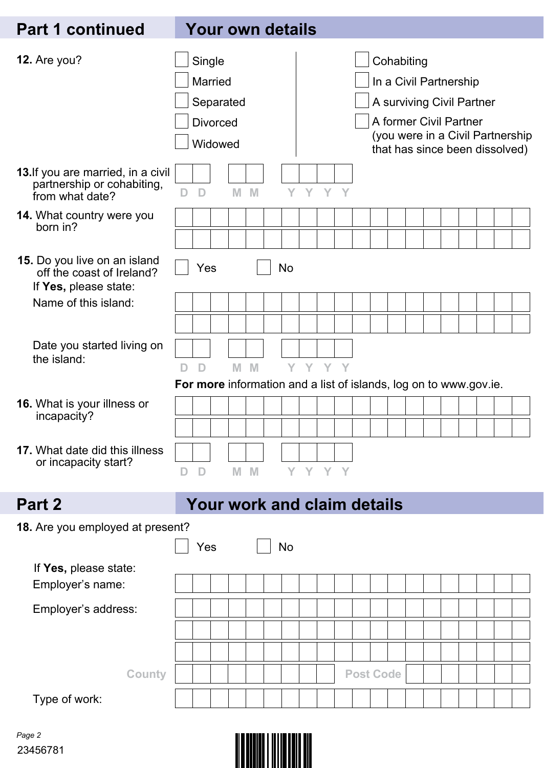## **Part 1 continued Your own details**

| 12. Are you?                                                                        |   | Single<br><b>Married</b>                                                          |   |   |           | Cohabiting<br>In a Civil Partnership |  |  |  |                  |  |  |  |  |                                |  |  |                                  |  |
|-------------------------------------------------------------------------------------|---|-----------------------------------------------------------------------------------|---|---|-----------|--------------------------------------|--|--|--|------------------|--|--|--|--|--------------------------------|--|--|----------------------------------|--|
|                                                                                     |   | Separated                                                                         |   |   |           |                                      |  |  |  |                  |  |  |  |  | A surviving Civil Partner      |  |  |                                  |  |
|                                                                                     |   | <b>Divorced</b>                                                                   |   |   |           |                                      |  |  |  |                  |  |  |  |  | A former Civil Partner         |  |  |                                  |  |
|                                                                                     |   |                                                                                   |   |   |           |                                      |  |  |  |                  |  |  |  |  |                                |  |  | (you were in a Civil Partnership |  |
|                                                                                     |   | Widowed                                                                           |   |   |           |                                      |  |  |  |                  |  |  |  |  | that has since been dissolved) |  |  |                                  |  |
| 13. If you are married, in a civil<br>partnership or cohabiting,<br>from what date? | D | D                                                                                 | M | M |           | Y Y Y Y                              |  |  |  |                  |  |  |  |  |                                |  |  |                                  |  |
| 14. What country were you                                                           |   |                                                                                   |   |   |           |                                      |  |  |  |                  |  |  |  |  |                                |  |  |                                  |  |
| born in?                                                                            |   |                                                                                   |   |   |           |                                      |  |  |  |                  |  |  |  |  |                                |  |  |                                  |  |
| 15. Do you live on an island<br>off the coast of Ireland?<br>If Yes, please state:  |   | Yes                                                                               |   |   | <b>No</b> |                                      |  |  |  |                  |  |  |  |  |                                |  |  |                                  |  |
| Name of this island:                                                                |   |                                                                                   |   |   |           |                                      |  |  |  |                  |  |  |  |  |                                |  |  |                                  |  |
|                                                                                     |   |                                                                                   |   |   |           |                                      |  |  |  |                  |  |  |  |  |                                |  |  |                                  |  |
| Date you started living on                                                          |   |                                                                                   |   |   |           |                                      |  |  |  |                  |  |  |  |  |                                |  |  |                                  |  |
| the island:                                                                         |   |                                                                                   |   |   |           |                                      |  |  |  |                  |  |  |  |  |                                |  |  |                                  |  |
|                                                                                     | D | $\mathbf{D}$<br>For more information and a list of islands, log on to www.gov.ie. | M | M |           | Y Y Y Y                              |  |  |  |                  |  |  |  |  |                                |  |  |                                  |  |
|                                                                                     |   |                                                                                   |   |   |           |                                      |  |  |  |                  |  |  |  |  |                                |  |  |                                  |  |
| 16. What is your illness or<br>incapacity?                                          |   |                                                                                   |   |   |           |                                      |  |  |  |                  |  |  |  |  |                                |  |  |                                  |  |
|                                                                                     |   |                                                                                   |   |   |           |                                      |  |  |  |                  |  |  |  |  |                                |  |  |                                  |  |
| 17. What date did this illness                                                      |   |                                                                                   |   |   |           |                                      |  |  |  |                  |  |  |  |  |                                |  |  |                                  |  |
| or incapacity start?                                                                |   | D M M Y Y Y Y                                                                     |   |   |           |                                      |  |  |  |                  |  |  |  |  |                                |  |  |                                  |  |
|                                                                                     |   |                                                                                   |   |   |           |                                      |  |  |  |                  |  |  |  |  |                                |  |  |                                  |  |
| Part 2                                                                              |   | <b>Your work and claim details</b>                                                |   |   |           |                                      |  |  |  |                  |  |  |  |  |                                |  |  |                                  |  |
| 18. Are you employed at present?                                                    |   |                                                                                   |   |   |           |                                      |  |  |  |                  |  |  |  |  |                                |  |  |                                  |  |
|                                                                                     |   | Yes                                                                               |   |   | No        |                                      |  |  |  |                  |  |  |  |  |                                |  |  |                                  |  |
| If Yes, please state:                                                               |   |                                                                                   |   |   |           |                                      |  |  |  |                  |  |  |  |  |                                |  |  |                                  |  |
| Employer's name:                                                                    |   |                                                                                   |   |   |           |                                      |  |  |  |                  |  |  |  |  |                                |  |  |                                  |  |
| Employer's address:                                                                 |   |                                                                                   |   |   |           |                                      |  |  |  |                  |  |  |  |  |                                |  |  |                                  |  |
|                                                                                     |   |                                                                                   |   |   |           |                                      |  |  |  |                  |  |  |  |  |                                |  |  |                                  |  |
|                                                                                     |   |                                                                                   |   |   |           |                                      |  |  |  |                  |  |  |  |  |                                |  |  |                                  |  |
|                                                                                     |   |                                                                                   |   |   |           |                                      |  |  |  |                  |  |  |  |  |                                |  |  |                                  |  |
| <b>County</b>                                                                       |   |                                                                                   |   |   |           |                                      |  |  |  | <b>Post Code</b> |  |  |  |  |                                |  |  |                                  |  |
| Type of work:                                                                       |   |                                                                                   |   |   |           |                                      |  |  |  |                  |  |  |  |  |                                |  |  |                                  |  |

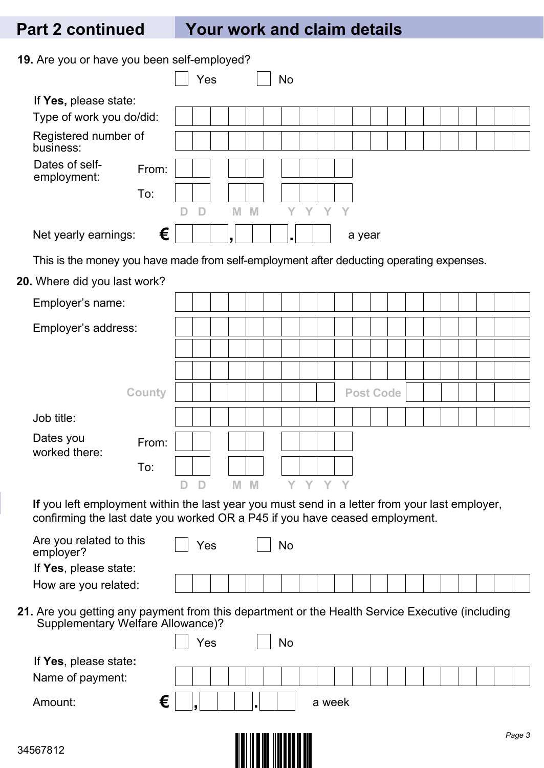## **Part 2 continued Your work and claim details**

**19.** Are you or have you been self-employed?

| <b>19.</b> Are you or have you been self-employed?                                                                                                                            |   |     |   |   |    |       |        |   |                  |  |  |  |  |  |
|-------------------------------------------------------------------------------------------------------------------------------------------------------------------------------|---|-----|---|---|----|-------|--------|---|------------------|--|--|--|--|--|
|                                                                                                                                                                               |   | Yes |   |   | No |       |        |   |                  |  |  |  |  |  |
| If Yes, please state:                                                                                                                                                         |   |     |   |   |    |       |        |   |                  |  |  |  |  |  |
| Type of work you do/did:                                                                                                                                                      |   |     |   |   |    |       |        |   |                  |  |  |  |  |  |
| Registered number of<br>business:                                                                                                                                             |   |     |   |   |    |       |        |   |                  |  |  |  |  |  |
| Dates of self-<br>From:<br>employment:                                                                                                                                        |   |     |   |   |    |       |        |   |                  |  |  |  |  |  |
| To:                                                                                                                                                                           |   |     |   |   |    |       |        |   |                  |  |  |  |  |  |
|                                                                                                                                                                               | D | D   | M | M | Y  | Y     | Y      | Y |                  |  |  |  |  |  |
| €<br>Net yearly earnings:                                                                                                                                                     |   |     |   |   |    |       |        |   | a year           |  |  |  |  |  |
| This is the money you have made from self-employment after deducting operating expenses.                                                                                      |   |     |   |   |    |       |        |   |                  |  |  |  |  |  |
| 20. Where did you last work?                                                                                                                                                  |   |     |   |   |    |       |        |   |                  |  |  |  |  |  |
| Employer's name:                                                                                                                                                              |   |     |   |   |    |       |        |   |                  |  |  |  |  |  |
| Employer's address:                                                                                                                                                           |   |     |   |   |    |       |        |   |                  |  |  |  |  |  |
|                                                                                                                                                                               |   |     |   |   |    |       |        |   |                  |  |  |  |  |  |
|                                                                                                                                                                               |   |     |   |   |    |       |        |   |                  |  |  |  |  |  |
| <b>County</b>                                                                                                                                                                 |   |     |   |   |    |       |        |   | <b>Post Code</b> |  |  |  |  |  |
| Job title:                                                                                                                                                                    |   |     |   |   |    |       |        |   |                  |  |  |  |  |  |
| Dates you<br>From:<br>worked there:                                                                                                                                           |   |     |   |   |    |       |        |   |                  |  |  |  |  |  |
| To:                                                                                                                                                                           |   |     |   |   |    |       |        |   |                  |  |  |  |  |  |
|                                                                                                                                                                               |   | D   | M | M |    | Y Y I |        |   |                  |  |  |  |  |  |
| If you left employment within the last year you must send in a letter from your last employer,<br>confirming the last date you worked OR a P45 if you have ceased employment. |   |     |   |   |    |       |        |   |                  |  |  |  |  |  |
| Are you related to this<br>employer?                                                                                                                                          |   | Yes |   |   | No |       |        |   |                  |  |  |  |  |  |
| If Yes, please state:                                                                                                                                                         |   |     |   |   |    |       |        |   |                  |  |  |  |  |  |
| How are you related:                                                                                                                                                          |   |     |   |   |    |       |        |   |                  |  |  |  |  |  |
| 21. Are you getting any payment from this department or the Health Service Executive (including<br>Supplementary Welfare Allowance)?                                          |   |     |   |   |    |       |        |   |                  |  |  |  |  |  |
|                                                                                                                                                                               |   | Yes |   |   | No |       |        |   |                  |  |  |  |  |  |
| If Yes, please state:                                                                                                                                                         |   |     |   |   |    |       |        |   |                  |  |  |  |  |  |
| Name of payment:                                                                                                                                                              |   |     |   |   |    |       |        |   |                  |  |  |  |  |  |
| €<br>Amount:                                                                                                                                                                  |   |     |   |   |    |       | a week |   |                  |  |  |  |  |  |
|                                                                                                                                                                               |   |     |   |   |    |       |        |   |                  |  |  |  |  |  |

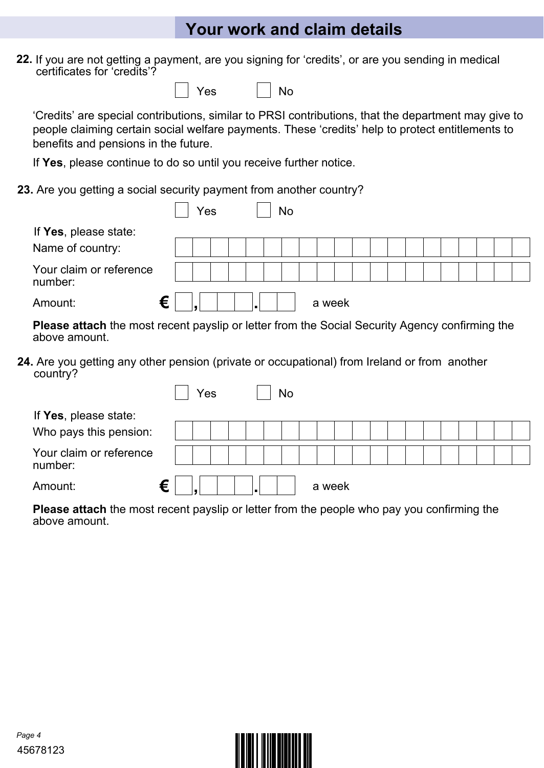## **Your work and claim details**

**22.** If you are not getting a payment, are you signing for 'credits', or are you sending in medical certificates for 'credits'?

|  | v<br>es |  | No |
|--|---------|--|----|
|--|---------|--|----|

'Credits' are special contributions, similar to PRSI contributions, that the department may give to people claiming certain social welfare payments. These 'credits' help to protect entitlements to benefits and pensions in the future.

If **Yes**, please continue to do so until you receive further notice.

**23.** Are you getting a social security payment from another country?

|                                    | No<br>Yes                                                                                             |  |
|------------------------------------|-------------------------------------------------------------------------------------------------------|--|
| If Yes, please state:              |                                                                                                       |  |
| Name of country:                   |                                                                                                       |  |
| Your claim or reference<br>number: |                                                                                                       |  |
| Amount:                            | €<br>a week                                                                                           |  |
| above amount.                      | <b>Please attach</b> the most recent payslip or letter from the Social Security Agency confirming the |  |

**24.** Are you getting any other pension (private or occupational) from Ireland or from another country?

|                                                                                                                                                                                                                                         | Yes | No |        |  |                                                     |  |
|-----------------------------------------------------------------------------------------------------------------------------------------------------------------------------------------------------------------------------------------|-----|----|--------|--|-----------------------------------------------------|--|
| If Yes, please state:<br>Who pays this pension:                                                                                                                                                                                         |     |    |        |  |                                                     |  |
| Your claim or reference<br>number:                                                                                                                                                                                                      |     |    |        |  |                                                     |  |
| €<br>Amount:                                                                                                                                                                                                                            |     |    | a week |  |                                                     |  |
| $\mathcal{A}$ and the state of the state of the state of the state of the state of the state of the state of the state of the state of the state of the state of the state of the state of the state of the state of the state of<br>-- |     |    |        |  | $\mathbf{r}$ and $\mathbf{r}$ and $\mathbf{r}$<br>. |  |

**Please attach** the most recent payslip or letter from the people who pay you confirming the above amount.

|  | . |  |  |
|--|---|--|--|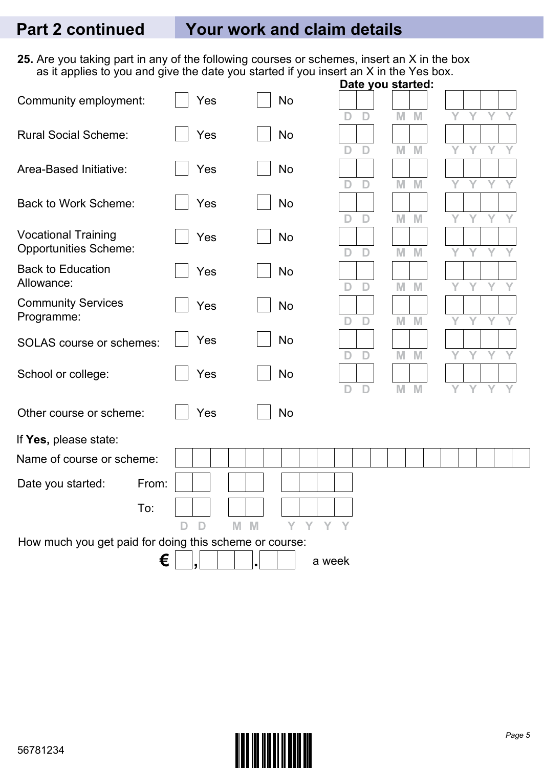**25.** Are you taking part in any of the following courses or schemes, insert an X in the box as it applies to you and give the date you started if you insert an X in the Yes box.

|                                                        |             |                        | Date you started: |        |   |   |   |   |
|--------------------------------------------------------|-------------|------------------------|-------------------|--------|---|---|---|---|
| Community employment:                                  | Yes         | No                     |                   |        |   |   |   |   |
|                                                        |             |                        | D<br>D            | M<br>M | Y | Ý | Y |   |
| <b>Rural Social Scheme:</b>                            | Yes         | No                     |                   |        |   |   |   |   |
|                                                        |             |                        | D<br>D            | M<br>M | Υ | Y | Y | Y |
| Area-Based Initiative:                                 | Yes         | <b>No</b>              |                   |        |   |   |   |   |
|                                                        |             |                        | D<br>D            | M<br>M | Υ | Υ |   |   |
| <b>Back to Work Scheme:</b>                            | Yes         | No                     |                   |        |   |   |   |   |
|                                                        |             |                        | D<br>D            | M<br>M | Υ |   | Υ |   |
| <b>Vocational Training</b>                             | Yes         | <b>No</b>              |                   |        |   |   |   |   |
| <b>Opportunities Scheme:</b>                           |             |                        | D<br>D            | M<br>M | Y | Y | Y | Y |
| <b>Back to Education</b>                               | Yes         | No                     |                   |        |   |   |   |   |
| Allowance:                                             |             |                        | D<br>D            | M<br>M | Y | Υ | Y |   |
| <b>Community Services</b>                              | Yes         | <b>No</b>              |                   |        |   |   |   |   |
| Programme:                                             |             |                        | $\mathbf{D}$<br>D | M<br>M | Y | Ÿ | Y | Y |
| <b>SOLAS</b> course or schemes:                        | Yes         | No                     |                   |        |   |   |   |   |
|                                                        |             |                        | D<br>D            | M<br>M | Υ |   | Υ |   |
| School or college:                                     | Yes         | <b>No</b>              |                   |        |   |   |   |   |
|                                                        |             |                        | D<br>D            | M<br>M | Y | v | Υ |   |
|                                                        |             |                        |                   |        |   |   |   |   |
| Other course or scheme:                                | Yes         | <b>No</b>              |                   |        |   |   |   |   |
| If Yes, please state:                                  |             |                        |                   |        |   |   |   |   |
| Name of course or scheme:                              |             |                        |                   |        |   |   |   |   |
|                                                        |             |                        |                   |        |   |   |   |   |
| From:<br>Date you started:                             |             |                        |                   |        |   |   |   |   |
| To:                                                    |             |                        |                   |        |   |   |   |   |
|                                                        | D<br>M<br>D | Y<br>$\mathbf{Y}$<br>M | Y Y               |        |   |   |   |   |
| How much you get paid for doing this scheme or course: |             |                        |                   |        |   |   |   |   |
| €                                                      |             | a week                 |                   |        |   |   |   |   |

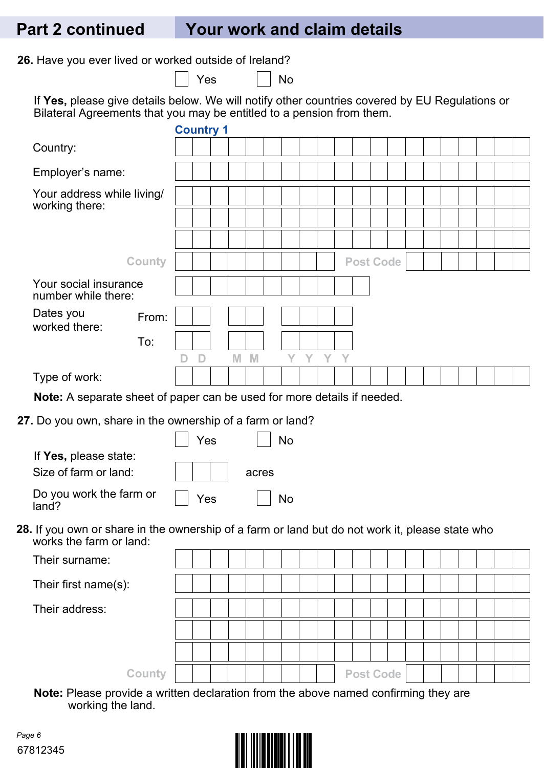### **Part 2 continued Your work and claim details**

**26.** Have you ever lived or worked outside of Ireland?

 $Yes \t | No$ 

If **Yes,** please give details below. We will notify other countries covered by EU Regulations or Bilateral Agreements that you may be entitled to a pension from them.

|                                                                                                                            | <b>Country 1</b> |     |  |       |    |   |   |   |                  |  |  |  |  |  |
|----------------------------------------------------------------------------------------------------------------------------|------------------|-----|--|-------|----|---|---|---|------------------|--|--|--|--|--|
| Country:                                                                                                                   |                  |     |  |       |    |   |   |   |                  |  |  |  |  |  |
| Employer's name:                                                                                                           |                  |     |  |       |    |   |   |   |                  |  |  |  |  |  |
| Your address while living/<br>working there:                                                                               |                  |     |  |       |    |   |   |   |                  |  |  |  |  |  |
|                                                                                                                            |                  |     |  |       |    |   |   |   |                  |  |  |  |  |  |
|                                                                                                                            |                  |     |  |       |    |   |   |   |                  |  |  |  |  |  |
| <b>County</b>                                                                                                              |                  |     |  |       |    |   |   |   | <b>Post Code</b> |  |  |  |  |  |
| Your social insurance<br>number while there:                                                                               |                  |     |  |       |    |   |   |   |                  |  |  |  |  |  |
| Dates you<br>From:<br>worked there:                                                                                        |                  |     |  |       |    |   |   |   |                  |  |  |  |  |  |
| To:                                                                                                                        |                  |     |  |       |    |   |   |   |                  |  |  |  |  |  |
|                                                                                                                            | D                | D   |  | $M$ M | Y  | Y | Y | Y |                  |  |  |  |  |  |
| Type of work:                                                                                                              |                  |     |  |       |    |   |   |   |                  |  |  |  |  |  |
| Note: A separate sheet of paper can be used for more details if needed.                                                    |                  |     |  |       |    |   |   |   |                  |  |  |  |  |  |
|                                                                                                                            |                  |     |  |       |    |   |   |   |                  |  |  |  |  |  |
| 27. Do you own, share in the ownership of a farm or land?                                                                  |                  |     |  |       |    |   |   |   |                  |  |  |  |  |  |
|                                                                                                                            |                  | Yes |  |       | No |   |   |   |                  |  |  |  |  |  |
| If Yes, please state:                                                                                                      |                  |     |  |       |    |   |   |   |                  |  |  |  |  |  |
| Size of farm or land:                                                                                                      |                  |     |  | acres |    |   |   |   |                  |  |  |  |  |  |
| Do you work the farm or<br>land?                                                                                           |                  | Yes |  |       | No |   |   |   |                  |  |  |  |  |  |
| 28. If you own or share in the ownership of a farm or land but do not work it, please state who<br>works the farm or land: |                  |     |  |       |    |   |   |   |                  |  |  |  |  |  |
| Their surname:                                                                                                             |                  |     |  |       |    |   |   |   |                  |  |  |  |  |  |
| Their first name(s):                                                                                                       |                  |     |  |       |    |   |   |   |                  |  |  |  |  |  |
| Their address:                                                                                                             |                  |     |  |       |    |   |   |   |                  |  |  |  |  |  |
|                                                                                                                            |                  |     |  |       |    |   |   |   |                  |  |  |  |  |  |
|                                                                                                                            |                  |     |  |       |    |   |   |   |                  |  |  |  |  |  |

**Note:** Please provide a written declaration from the above named confirming they are working the land.

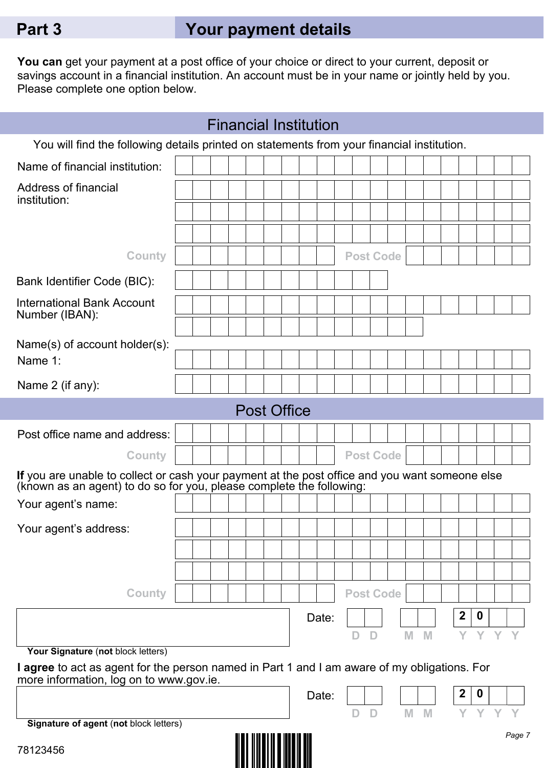# **Part 3 Your payment details**

**You can** get your payment at a post office of your choice or direct to your current, deposit or savings account in a financial institution. An account must be in your name or jointly held by you. Please complete one option below.

|                                                                                                                                                                        |  |  |  |  |  |  |  |  | <b>Financial Institution</b> |  |  |                  |  |   |   |              |             |   |        |
|------------------------------------------------------------------------------------------------------------------------------------------------------------------------|--|--|--|--|--|--|--|--|------------------------------|--|--|------------------|--|---|---|--------------|-------------|---|--------|
| You will find the following details printed on statements from your financial institution.                                                                             |  |  |  |  |  |  |  |  |                              |  |  |                  |  |   |   |              |             |   |        |
| Name of financial institution:                                                                                                                                         |  |  |  |  |  |  |  |  |                              |  |  |                  |  |   |   |              |             |   |        |
| Address of financial<br>institution:                                                                                                                                   |  |  |  |  |  |  |  |  |                              |  |  |                  |  |   |   |              |             |   |        |
|                                                                                                                                                                        |  |  |  |  |  |  |  |  |                              |  |  |                  |  |   |   |              |             |   |        |
|                                                                                                                                                                        |  |  |  |  |  |  |  |  |                              |  |  |                  |  |   |   |              |             |   |        |
| <b>County</b>                                                                                                                                                          |  |  |  |  |  |  |  |  |                              |  |  | <b>Post Code</b> |  |   |   |              |             |   |        |
| Bank Identifier Code (BIC):                                                                                                                                            |  |  |  |  |  |  |  |  |                              |  |  |                  |  |   |   |              |             |   |        |
| <b>International Bank Account</b><br>Number (IBAN):                                                                                                                    |  |  |  |  |  |  |  |  |                              |  |  |                  |  |   |   |              |             |   |        |
| Name(s) of account holder(s):                                                                                                                                          |  |  |  |  |  |  |  |  |                              |  |  |                  |  |   |   |              |             |   |        |
| Name 1:                                                                                                                                                                |  |  |  |  |  |  |  |  |                              |  |  |                  |  |   |   |              |             |   |        |
| Name 2 (if any):                                                                                                                                                       |  |  |  |  |  |  |  |  |                              |  |  |                  |  |   |   |              |             |   |        |
| <b>Post Office</b>                                                                                                                                                     |  |  |  |  |  |  |  |  |                              |  |  |                  |  |   |   |              |             |   |        |
| Post office name and address:                                                                                                                                          |  |  |  |  |  |  |  |  |                              |  |  |                  |  |   |   |              |             |   |        |
| <b>County</b>                                                                                                                                                          |  |  |  |  |  |  |  |  |                              |  |  | <b>Post Code</b> |  |   |   |              |             |   |        |
| If you are unable to collect or cash your payment at the post office and you want someone else<br>(known as an agent) to do so for you, please complete the following: |  |  |  |  |  |  |  |  |                              |  |  |                  |  |   |   |              |             |   |        |
| Your agent's name:                                                                                                                                                     |  |  |  |  |  |  |  |  |                              |  |  |                  |  |   |   |              |             |   |        |
| Your agent's address:                                                                                                                                                  |  |  |  |  |  |  |  |  |                              |  |  |                  |  |   |   |              |             |   |        |
|                                                                                                                                                                        |  |  |  |  |  |  |  |  |                              |  |  |                  |  |   |   |              |             |   |        |
|                                                                                                                                                                        |  |  |  |  |  |  |  |  |                              |  |  |                  |  |   |   |              |             |   |        |
| <b>County</b>                                                                                                                                                          |  |  |  |  |  |  |  |  |                              |  |  | <b>Post Code</b> |  |   |   |              |             |   |        |
|                                                                                                                                                                        |  |  |  |  |  |  |  |  | Date:                        |  |  |                  |  |   |   | $\mathbf{2}$ | 0           |   |        |
|                                                                                                                                                                        |  |  |  |  |  |  |  |  |                              |  |  | D                |  | M | M | Y            | Y           | Y |        |
| Your Signature (not block letters)<br>I agree to act as agent for the person named in Part 1 and I am aware of my obligations. For                                     |  |  |  |  |  |  |  |  |                              |  |  |                  |  |   |   |              |             |   |        |
| more information, log on to www.gov.ie.                                                                                                                                |  |  |  |  |  |  |  |  |                              |  |  |                  |  |   |   |              |             |   |        |
|                                                                                                                                                                        |  |  |  |  |  |  |  |  | Date:                        |  |  | D                |  | M | M | $\mathbf{2}$ | $\mathbf 0$ |   |        |
| Signature of agent (not block letters)                                                                                                                                 |  |  |  |  |  |  |  |  |                              |  |  |                  |  |   |   |              |             |   | Page 7 |
| 78123456                                                                                                                                                               |  |  |  |  |  |  |  |  |                              |  |  |                  |  |   |   |              |             |   |        |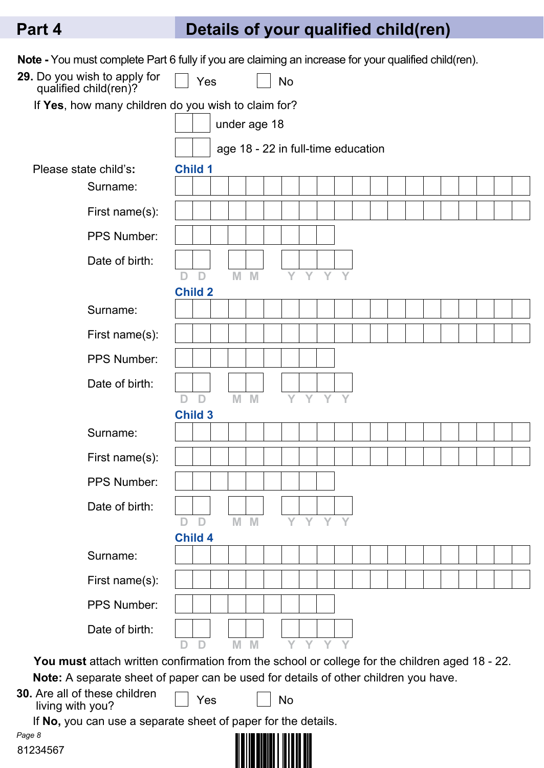# **Part 4 Details of your qualified child(ren)**

| Note - You must complete Part 6 fully if you are claiming an increase for your qualified child(ren).                                                                                  |                     |                     |       |              |           |     |    |                                    |  |  |  |  |  |
|---------------------------------------------------------------------------------------------------------------------------------------------------------------------------------------|---------------------|---------------------|-------|--------------|-----------|-----|----|------------------------------------|--|--|--|--|--|
| 29. Do you wish to apply for<br>qualified child(ren)?                                                                                                                                 |                     | Yes                 |       |              | <b>No</b> |     |    |                                    |  |  |  |  |  |
| If Yes, how many children do you wish to claim for?                                                                                                                                   |                     |                     |       |              |           |     |    |                                    |  |  |  |  |  |
|                                                                                                                                                                                       |                     |                     |       | under age 18 |           |     |    |                                    |  |  |  |  |  |
|                                                                                                                                                                                       |                     |                     |       |              |           |     |    | age 18 - 22 in full-time education |  |  |  |  |  |
| Please state child's:                                                                                                                                                                 | <b>Child 1</b>      |                     |       |              |           |     |    |                                    |  |  |  |  |  |
| Surname:                                                                                                                                                                              |                     |                     |       |              |           |     |    |                                    |  |  |  |  |  |
| First name(s):                                                                                                                                                                        |                     |                     |       |              |           |     |    |                                    |  |  |  |  |  |
| PPS Number:                                                                                                                                                                           |                     |                     |       |              |           |     |    |                                    |  |  |  |  |  |
| Date of birth:                                                                                                                                                                        |                     |                     |       |              |           |     |    |                                    |  |  |  |  |  |
|                                                                                                                                                                                       | D                   | D<br><b>Child 2</b> | $M$ M |              | Y         | Y   | Y  |                                    |  |  |  |  |  |
| Surname:                                                                                                                                                                              |                     |                     |       |              |           |     |    |                                    |  |  |  |  |  |
| First name(s):                                                                                                                                                                        |                     |                     |       |              |           |     |    |                                    |  |  |  |  |  |
| <b>PPS Number:</b>                                                                                                                                                                    |                     |                     |       |              |           |     |    |                                    |  |  |  |  |  |
| Date of birth:                                                                                                                                                                        |                     |                     |       |              |           |     |    |                                    |  |  |  |  |  |
|                                                                                                                                                                                       | D<br><b>Child 3</b> | $\mathsf{D}$        |       | $M$ M        |           | Y Y | Y  |                                    |  |  |  |  |  |
| Surname:                                                                                                                                                                              |                     |                     |       |              |           |     |    |                                    |  |  |  |  |  |
| First name(s):                                                                                                                                                                        |                     |                     |       |              |           |     |    |                                    |  |  |  |  |  |
| PPS Number:                                                                                                                                                                           |                     |                     |       |              |           |     |    |                                    |  |  |  |  |  |
| Date of birth:                                                                                                                                                                        |                     |                     |       |              |           |     |    |                                    |  |  |  |  |  |
|                                                                                                                                                                                       | D                   | D                   |       | $M$ $M$      |           | Y Y | Y. |                                    |  |  |  |  |  |
|                                                                                                                                                                                       | <b>Child 4</b>      |                     |       |              |           |     |    |                                    |  |  |  |  |  |
| Surname:                                                                                                                                                                              |                     |                     |       |              |           |     |    |                                    |  |  |  |  |  |
| First name(s):                                                                                                                                                                        |                     |                     |       |              |           |     |    |                                    |  |  |  |  |  |
| PPS Number:                                                                                                                                                                           |                     |                     |       |              |           |     |    |                                    |  |  |  |  |  |
| Date of birth:                                                                                                                                                                        |                     |                     |       |              |           |     |    |                                    |  |  |  |  |  |
|                                                                                                                                                                                       |                     | D                   | M     | M            |           |     |    |                                    |  |  |  |  |  |
| You must attach written confirmation from the school or college for the children aged 18 - 22.<br>Note: A separate sheet of paper can be used for details of other children you have. |                     |                     |       |              |           |     |    |                                    |  |  |  |  |  |
| <b>30.</b> Are all of these children                                                                                                                                                  |                     | Yes                 |       |              | No        |     |    |                                    |  |  |  |  |  |
| living with you?<br>If No, you can use a separate sheet of paper for the details.                                                                                                     |                     |                     |       |              |           |     |    |                                    |  |  |  |  |  |
| Page 8                                                                                                                                                                                |                     |                     |       |              |           |     |    |                                    |  |  |  |  |  |

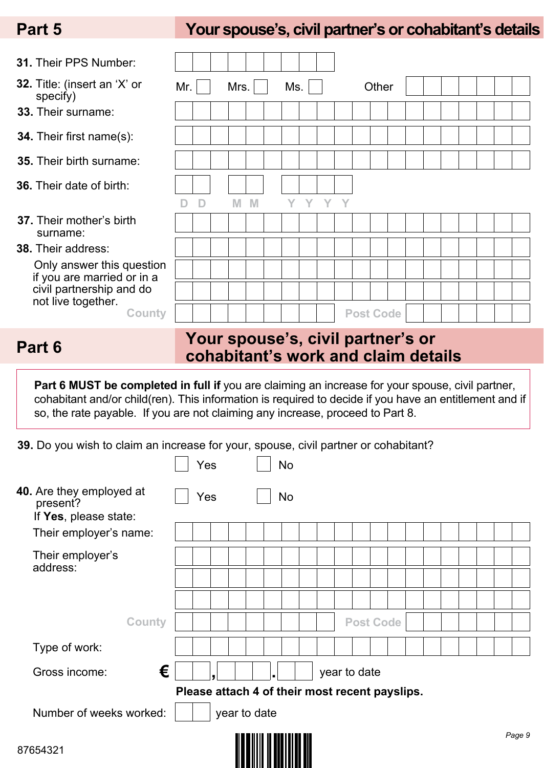## **Part 5 Your spouse's, civil partner's or cohabitant's details**

| <b>31. Their PPS Number:</b>                            |     |   |      |   |     |      |   |                  |       |  |  |  |  |
|---------------------------------------------------------|-----|---|------|---|-----|------|---|------------------|-------|--|--|--|--|
| 32. Title: (insert an 'X' or<br>specify)                | Mr. |   | Mrs. |   | Ms. |      |   |                  | Other |  |  |  |  |
| <b>33.</b> Their surname:                               |     |   |      |   |     |      |   |                  |       |  |  |  |  |
| <b>34.</b> Their first name(s):                         |     |   |      |   |     |      |   |                  |       |  |  |  |  |
| <b>35.</b> Their birth surname:                         |     |   |      |   |     |      |   |                  |       |  |  |  |  |
| <b>36.</b> Their date of birth:                         |     |   |      |   |     |      |   |                  |       |  |  |  |  |
|                                                         |     | D | M    | M |     | EY L | Y |                  |       |  |  |  |  |
| <b>37.</b> Their mother's birth<br>surname:             |     |   |      |   |     |      |   |                  |       |  |  |  |  |
| <b>38. Their address:</b>                               |     |   |      |   |     |      |   |                  |       |  |  |  |  |
| Only answer this question<br>if you are married or in a |     |   |      |   |     |      |   |                  |       |  |  |  |  |
| civil partnership and do<br>not live together.          |     |   |      |   |     |      |   |                  |       |  |  |  |  |
| <b>County</b>                                           |     |   |      |   |     |      |   | <b>Post Code</b> |       |  |  |  |  |

### **Your spouse's, civil partner's or cohabitant's work and claim details Part 6**

Part 6 MUST be completed in full if you are claiming an increase for your spouse, civil partner, cohabitant and/or child(ren). This information is required to decide if you have an entitlement and if so, the rate payable. If you are not claiming any increase, proceed to Part 8.

**39.** Do you wish to claim an increase for your, spouse, civil partner or cohabitant?

|                                                               |   | Yes |              | No                                             |              |                  |  |  |        |
|---------------------------------------------------------------|---|-----|--------------|------------------------------------------------|--------------|------------------|--|--|--------|
| 40. Are they employed at<br>present?<br>If Yes, please state: |   | Yes |              | No                                             |              |                  |  |  |        |
| Their employer's name:                                        |   |     |              |                                                |              |                  |  |  |        |
| Their employer's                                              |   |     |              |                                                |              |                  |  |  |        |
| address:                                                      |   |     |              |                                                |              |                  |  |  |        |
|                                                               |   |     |              |                                                |              |                  |  |  |        |
| <b>County</b>                                                 |   |     |              |                                                |              | <b>Post Code</b> |  |  |        |
| Type of work:                                                 |   |     |              |                                                |              |                  |  |  |        |
| Gross income:                                                 | € |     |              |                                                | year to date |                  |  |  |        |
|                                                               |   |     |              | Please attach 4 of their most recent payslips. |              |                  |  |  |        |
| Number of weeks worked:                                       |   |     | year to date |                                                |              |                  |  |  |        |
| 87654321                                                      |   |     |              |                                                |              |                  |  |  | Page 9 |

<u> Alba hili a bhfilian bh</u>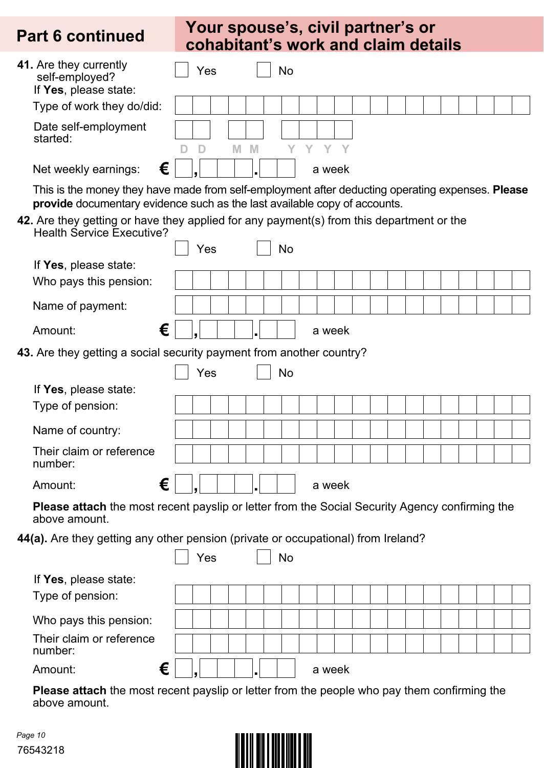### **Your spouse's, civil partner's or**  Part 6 continued cohabitant's work and claim details

| 41. Are they currently<br>self-employed?<br>If Yes, please state:                                                                                                             |   |        | Yes |   |      | No |        |  |  |  |  |  |  |
|-------------------------------------------------------------------------------------------------------------------------------------------------------------------------------|---|--------|-----|---|------|----|--------|--|--|--|--|--|--|
| Type of work they do/did:                                                                                                                                                     |   |        |     |   |      |    |        |  |  |  |  |  |  |
| Date self-employment<br>started:                                                                                                                                              |   | D<br>D |     | M | M    | Y  | Y Y Y  |  |  |  |  |  |  |
| Net weekly earnings:                                                                                                                                                          | € |        |     |   |      |    | a week |  |  |  |  |  |  |
| This is the money they have made from self-employment after deducting operating expenses. Please<br>provide documentary evidence such as the last available copy of accounts. |   |        |     |   |      |    |        |  |  |  |  |  |  |
| 42. Are they getting or have they applied for any payment(s) from this department or the<br><b>Health Service Executive?</b>                                                  |   |        |     |   |      |    |        |  |  |  |  |  |  |
|                                                                                                                                                                               |   |        | Yes |   |      | No |        |  |  |  |  |  |  |
| If Yes, please state:                                                                                                                                                         |   |        |     |   |      |    |        |  |  |  |  |  |  |
| Who pays this pension:                                                                                                                                                        |   |        |     |   |      |    |        |  |  |  |  |  |  |
| Name of payment:                                                                                                                                                              |   |        |     |   |      |    |        |  |  |  |  |  |  |
| Amount:                                                                                                                                                                       | € |        |     |   |      |    | a week |  |  |  |  |  |  |
| 43. Are they getting a social security payment from another country?                                                                                                          |   |        |     |   |      |    |        |  |  |  |  |  |  |
|                                                                                                                                                                               |   |        | Yes |   |      | No |        |  |  |  |  |  |  |
| If Yes, please state:                                                                                                                                                         |   |        |     |   |      |    |        |  |  |  |  |  |  |
| Type of pension:                                                                                                                                                              |   |        |     |   |      |    |        |  |  |  |  |  |  |
| Name of country:                                                                                                                                                              |   |        |     |   |      |    |        |  |  |  |  |  |  |
| Their claim or reference<br>number:                                                                                                                                           |   |        |     |   |      |    |        |  |  |  |  |  |  |
| Amount:                                                                                                                                                                       | € | l J    |     |   | ا دا |    | a week |  |  |  |  |  |  |
| Please attach the most recent payslip or letter from the Social Security Agency confirming the<br>above amount.                                                               |   |        |     |   |      |    |        |  |  |  |  |  |  |
| 44(a). Are they getting any other pension (private or occupational) from Ireland?                                                                                             |   |        |     |   |      |    |        |  |  |  |  |  |  |
|                                                                                                                                                                               |   |        | Yes |   |      | No |        |  |  |  |  |  |  |
| If Yes, please state:                                                                                                                                                         |   |        |     |   |      |    |        |  |  |  |  |  |  |
| Type of pension:                                                                                                                                                              |   |        |     |   |      |    |        |  |  |  |  |  |  |
| Who pays this pension:                                                                                                                                                        |   |        |     |   |      |    |        |  |  |  |  |  |  |
| Their claim or reference<br>number:                                                                                                                                           |   |        |     |   |      |    |        |  |  |  |  |  |  |
| Amount:                                                                                                                                                                       | € |        |     |   |      |    | a week |  |  |  |  |  |  |
|                                                                                                                                                                               |   |        |     |   |      |    |        |  |  |  |  |  |  |

**Please attach** the most recent payslip or letter from the people who pay them confirming the above amount.

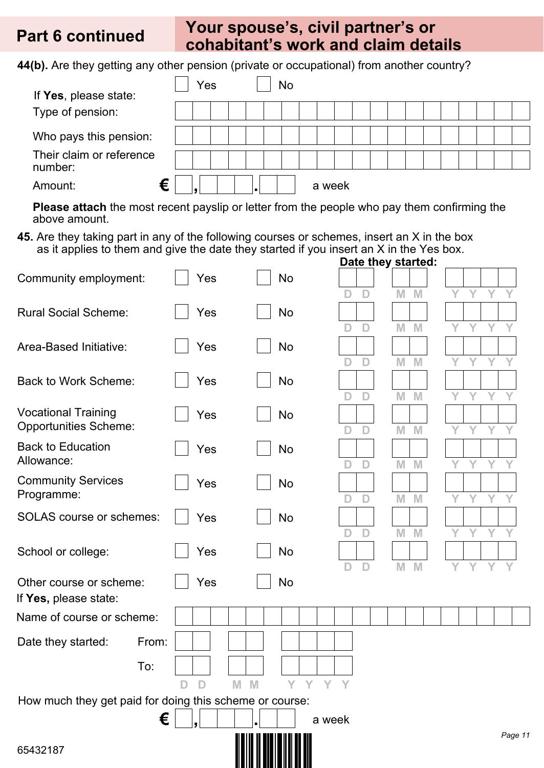### **Your spouse's, civil partner's or cohabitant's work and claim details Part 6 continued**

**44(b).** Are they getting any other pension (private or occupational) from another country?

| If Yes, please state:               | Yes |  | No |        |  |  |  |  |  |  |
|-------------------------------------|-----|--|----|--------|--|--|--|--|--|--|
| Type of pension:                    |     |  |    |        |  |  |  |  |  |  |
| Who pays this pension:              |     |  |    |        |  |  |  |  |  |  |
| Their claim or reference<br>number: |     |  |    |        |  |  |  |  |  |  |
| €<br>Amount:                        |     |  |    | a week |  |  |  |  |  |  |

**Please attach** the most recent payslip or letter from the people who pay them confirming the above amount.

**45.** Are they taking part in any of the following courses or schemes, insert an X in the box as it applies to them and give the date they started if you insert an X in the Yes box. **Date they started:**

| Community employment:                                   | Yes    | No                          | sulv u            |        |        |         |
|---------------------------------------------------------|--------|-----------------------------|-------------------|--------|--------|---------|
|                                                         |        |                             | D<br>D            | M<br>M | Y<br>Y | Y       |
| <b>Rural Social Scheme:</b>                             | Yes    | <b>No</b>                   |                   |        |        |         |
|                                                         |        |                             | D<br>D            | M<br>M | Y<br>Y | Y       |
| Area-Based Initiative:                                  | Yes    | No                          |                   |        |        |         |
|                                                         |        |                             | D<br>D            | M<br>M | Y<br>Y | Y<br>Y  |
| <b>Back to Work Scheme:</b>                             | Yes    | No                          |                   |        |        |         |
| <b>Vocational Training</b>                              |        |                             | D<br>D            | M<br>M | Y      | Y       |
| <b>Opportunities Scheme:</b>                            | Yes    | No                          | D<br>D            | M<br>M | Y      | V       |
| <b>Back to Education</b>                                | Yes    | No                          |                   |        |        |         |
| Allowance:                                              |        |                             | D<br>D            | M<br>M | Y<br>Y | Y       |
| <b>Community Services</b>                               | Yes    | No                          |                   |        |        |         |
| Programme:                                              |        |                             | D<br>D            | M<br>M |        |         |
| <b>SOLAS</b> course or schemes:                         | Yes    | No                          |                   |        |        |         |
|                                                         |        |                             | D<br>D            | M<br>M | Y<br>Y | Y<br>Y  |
| School or college:                                      | Yes    | No                          |                   |        |        |         |
|                                                         |        |                             | D<br>D            | M<br>M | Y<br>Y | Υ       |
| Other course or scheme:                                 | Yes    | No                          |                   |        |        |         |
| If Yes, please state:                                   |        |                             |                   |        |        |         |
| Name of course or scheme:                               |        |                             |                   |        |        |         |
| Date they started:<br>From:                             |        |                             |                   |        |        |         |
|                                                         |        |                             |                   |        |        |         |
| To:                                                     |        |                             |                   |        |        |         |
|                                                         | D<br>D | M<br>M<br>Y<br>$\mathbf{Y}$ | Y<br>$\mathbf{Y}$ |        |        |         |
| How much they get paid for doing this scheme or course: |        |                             |                   |        |        |         |
| €                                                       |        |                             | a week            |        |        |         |
| 65432187                                                |        |                             |                   |        |        | Page 11 |

<u> Alban de anti-sentido de </u>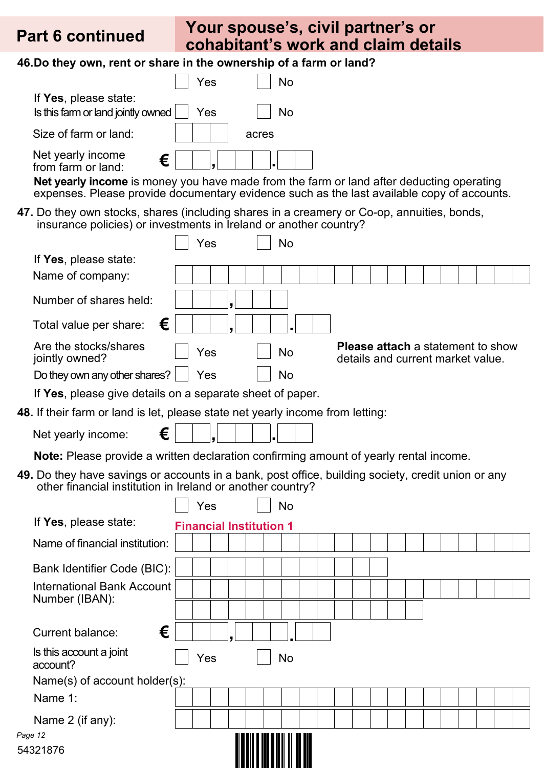*Page 12*

### **Your spouse's, civil partner's or cohabitant's work and claim details Part 6 continued**

**46.Do they own, rent or share in the ownership of a farm or land?**

|                                                             | Yes |       |  |
|-------------------------------------------------------------|-----|-------|--|
| If Yes, please state:<br>Is this farm or land jointly owned | Yes |       |  |
| Size of farm or land:                                       |     | acres |  |
| Net yearly income<br>€<br>from farm or land:                |     |       |  |

**Net yearly income** is money you have made from the farm or land after deducting operating expenses. Please provide documentary evidence such as the last available copy of accounts.

**47.** Do they own stocks, shares (including shares in a creamery or Co-op, annuities, bonds, insurance policies) or investments in Ireland or another country?

|                                                                                                                                                                  |                                | Yes |  | No                           |  |  |  |                                                                               |  |  |  |
|------------------------------------------------------------------------------------------------------------------------------------------------------------------|--------------------------------|-----|--|------------------------------|--|--|--|-------------------------------------------------------------------------------|--|--|--|
| If Yes, please state:                                                                                                                                            |                                |     |  |                              |  |  |  |                                                                               |  |  |  |
| Name of company:                                                                                                                                                 |                                |     |  |                              |  |  |  |                                                                               |  |  |  |
| Number of shares held:                                                                                                                                           |                                |     |  |                              |  |  |  |                                                                               |  |  |  |
| €<br>Total value per share:                                                                                                                                      |                                |     |  |                              |  |  |  |                                                                               |  |  |  |
| Are the stocks/shares<br>jointly owned?                                                                                                                          |                                | Yes |  | No                           |  |  |  | <b>Please attach</b> a statement to show<br>details and current market value. |  |  |  |
| Do they own any other shares?                                                                                                                                    |                                | Yes |  | No                           |  |  |  |                                                                               |  |  |  |
| If Yes, please give details on a separate sheet of paper.                                                                                                        |                                |     |  |                              |  |  |  |                                                                               |  |  |  |
| <b>48.</b> If their farm or land is let, please state net yearly income from letting:                                                                            |                                |     |  |                              |  |  |  |                                                                               |  |  |  |
| €<br>Net yearly income:                                                                                                                                          |                                |     |  |                              |  |  |  |                                                                               |  |  |  |
| <b>Note:</b> Please provide a written declaration confirming amount of yearly rental income.                                                                     |                                |     |  |                              |  |  |  |                                                                               |  |  |  |
| 49. Do they have savings or accounts in a bank, post office, building society, credit union or any<br>other financial institution in Ireland or another country? |                                |     |  |                              |  |  |  |                                                                               |  |  |  |
|                                                                                                                                                                  |                                | Yes |  | <b>No</b>                    |  |  |  |                                                                               |  |  |  |
| If Yes, please state:                                                                                                                                            | <b>Financial Institution 1</b> |     |  |                              |  |  |  |                                                                               |  |  |  |
| Name of financial institution:                                                                                                                                   |                                |     |  |                              |  |  |  |                                                                               |  |  |  |
| Bank Identifier Code (BIC):                                                                                                                                      |                                |     |  |                              |  |  |  |                                                                               |  |  |  |
| International Bank Account                                                                                                                                       |                                |     |  |                              |  |  |  |                                                                               |  |  |  |
| Number (IBAN):                                                                                                                                                   |                                |     |  |                              |  |  |  |                                                                               |  |  |  |
| €<br><b>Current balance:</b>                                                                                                                                     |                                |     |  |                              |  |  |  |                                                                               |  |  |  |
| Is this account a joint<br>account?                                                                                                                              |                                | Yes |  | No                           |  |  |  |                                                                               |  |  |  |
| Name(s) of account holder(s):                                                                                                                                    |                                |     |  |                              |  |  |  |                                                                               |  |  |  |
| Name 1:                                                                                                                                                          |                                |     |  |                              |  |  |  |                                                                               |  |  |  |
| Name 2 (if any):                                                                                                                                                 |                                |     |  |                              |  |  |  |                                                                               |  |  |  |
| Page 12                                                                                                                                                          |                                |     |  | <u> ALAM ANDENHAL II DEN</u> |  |  |  |                                                                               |  |  |  |
| 54321876                                                                                                                                                         |                                |     |  |                              |  |  |  |                                                                               |  |  |  |

<u> Albani a nd bhliain 11 an 110</u>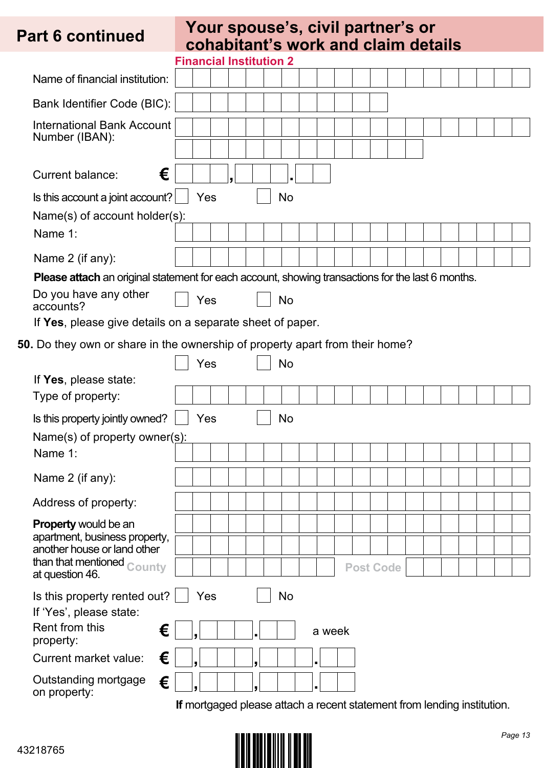### **Your spouse's, civil partner's or**  Part 6 continued cohabitant's work and claim details

|                                                                                                                                                                                                             |     | <b>Financial Institution 2</b> |  |    |        |                  |  |  |                                                                         |  |  |
|-------------------------------------------------------------------------------------------------------------------------------------------------------------------------------------------------------------|-----|--------------------------------|--|----|--------|------------------|--|--|-------------------------------------------------------------------------|--|--|
| Name of financial institution:                                                                                                                                                                              |     |                                |  |    |        |                  |  |  |                                                                         |  |  |
| Bank Identifier Code (BIC):                                                                                                                                                                                 |     |                                |  |    |        |                  |  |  |                                                                         |  |  |
| <b>International Bank Account</b>                                                                                                                                                                           |     |                                |  |    |        |                  |  |  |                                                                         |  |  |
| Number (IBAN):                                                                                                                                                                                              |     |                                |  |    |        |                  |  |  |                                                                         |  |  |
| €<br>Current balance:                                                                                                                                                                                       |     |                                |  |    |        |                  |  |  |                                                                         |  |  |
| Is this account a joint account?                                                                                                                                                                            | Yes |                                |  | No |        |                  |  |  |                                                                         |  |  |
| Name(s) of account holder(s):                                                                                                                                                                               |     |                                |  |    |        |                  |  |  |                                                                         |  |  |
| Name 1:                                                                                                                                                                                                     |     |                                |  |    |        |                  |  |  |                                                                         |  |  |
| Name 2 (if any):                                                                                                                                                                                            |     |                                |  |    |        |                  |  |  |                                                                         |  |  |
| <b>Please attach</b> an original statement for each account, showing transactions for the last 6 months.<br>Do you have any other<br>accounts?<br>If Yes, please give details on a separate sheet of paper. | Yes |                                |  | No |        |                  |  |  |                                                                         |  |  |
| 50. Do they own or share in the ownership of property apart from their home?                                                                                                                                |     |                                |  |    |        |                  |  |  |                                                                         |  |  |
|                                                                                                                                                                                                             | Yes |                                |  | No |        |                  |  |  |                                                                         |  |  |
| If Yes, please state:                                                                                                                                                                                       |     |                                |  |    |        |                  |  |  |                                                                         |  |  |
| Type of property:                                                                                                                                                                                           |     |                                |  |    |        |                  |  |  |                                                                         |  |  |
| Is this property jointly owned?                                                                                                                                                                             | Yes |                                |  | No |        |                  |  |  |                                                                         |  |  |
| Name(s) of property owner(s):                                                                                                                                                                               |     |                                |  |    |        |                  |  |  |                                                                         |  |  |
| Name 1:                                                                                                                                                                                                     |     |                                |  |    |        |                  |  |  |                                                                         |  |  |
| Name 2 (if any):                                                                                                                                                                                            |     |                                |  |    |        |                  |  |  |                                                                         |  |  |
| Address of property:                                                                                                                                                                                        |     |                                |  |    |        |                  |  |  |                                                                         |  |  |
| <b>Property would be an</b>                                                                                                                                                                                 |     |                                |  |    |        |                  |  |  |                                                                         |  |  |
| apartment, business property,<br>another house or land other                                                                                                                                                |     |                                |  |    |        |                  |  |  |                                                                         |  |  |
| than that mentioned <sub>County</sub><br>at question 46.                                                                                                                                                    |     |                                |  |    |        | <b>Post Code</b> |  |  |                                                                         |  |  |
| Is this property rented out?<br>If 'Yes', please state:<br>Rent from this<br>€<br>property:                                                                                                                 | Yes |                                |  | No | a week |                  |  |  |                                                                         |  |  |
| €<br>Current market value:                                                                                                                                                                                  |     |                                |  |    |        |                  |  |  |                                                                         |  |  |
| Outstanding mortgage<br>€<br>on property:                                                                                                                                                                   |     |                                |  |    |        |                  |  |  |                                                                         |  |  |
|                                                                                                                                                                                                             |     |                                |  |    |        |                  |  |  | If mortgaged please attach a recent statement from lending institution. |  |  |

43218765

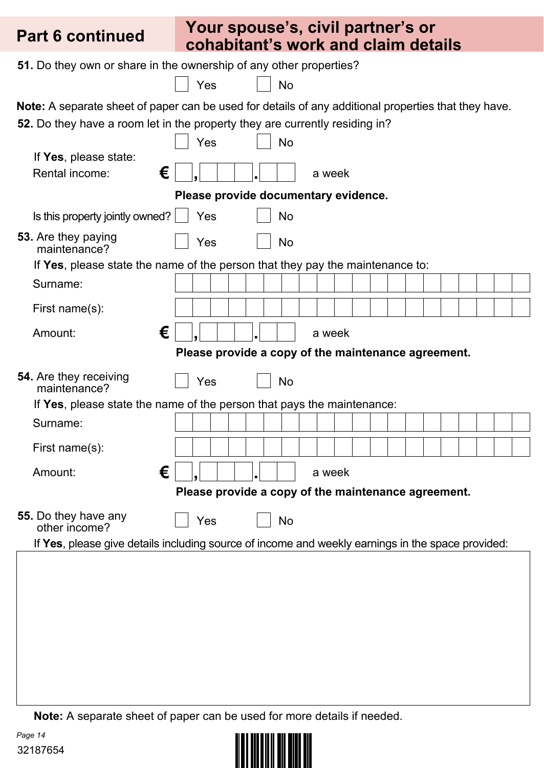| <b>Part 6 continued</b>                       | Your spouse's, civil partner's or<br>cohabitant's work and claim details                                    |
|-----------------------------------------------|-------------------------------------------------------------------------------------------------------------|
|                                               | 51. Do they own or share in the ownership of any other properties?                                          |
|                                               | Yes<br>No                                                                                                   |
|                                               | <b>Note:</b> A separate sheet of paper can be used for details of any additional properties that they have. |
|                                               | 52. Do they have a room let in the property they are currently residing in?                                 |
|                                               | Yes<br><b>No</b>                                                                                            |
| If Yes, please state:                         |                                                                                                             |
| €<br>Rental income:                           | a week                                                                                                      |
|                                               | Please provide documentary evidence.                                                                        |
| Is this property jointly owned?               | Yes<br>No                                                                                                   |
| 53. Are they paying<br>maintenance?           | Yes<br>No                                                                                                   |
|                                               | If Yes, please state the name of the person that they pay the maintenance to:                               |
| Surname:                                      |                                                                                                             |
| First name(s):                                |                                                                                                             |
| €<br>Amount:                                  | a week                                                                                                      |
|                                               | Please provide a copy of the maintenance agreement.                                                         |
| <b>54.</b> Are they receiving<br>maintenance? | Yes<br>No                                                                                                   |
|                                               | If Yes, please state the name of the person that pays the maintenance:                                      |
| Surname:                                      |                                                                                                             |
| First name(s):                                |                                                                                                             |
| €<br>Amount:                                  | a week                                                                                                      |
|                                               | Please provide a copy of the maintenance agreement.                                                         |
| 55. Do they have any<br>other income?         | Yes<br>No                                                                                                   |
|                                               | If Yes, please give details including source of income and weekly earnings in the space provided:           |
|                                               |                                                                                                             |

**Note:** A separate sheet of paper can be used for more details if needed.

*Page 14* 32187654

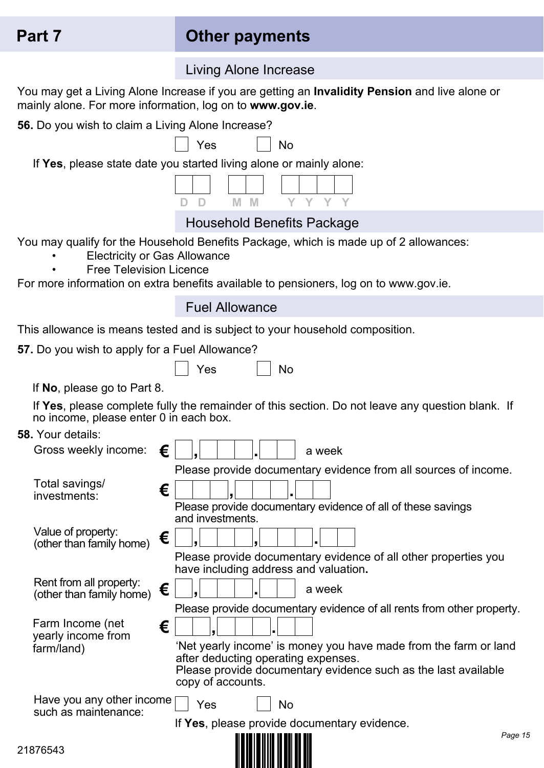## **Part 7 Other payments**

Living Alone Increase

You may get a Living Alone Increase if you are getting an **Invalidity Pension** and live alone or

| mainly alone. For more information, log on to www.gov.ie.             |                                                                                                                                                                                                                                                                         |
|-----------------------------------------------------------------------|-------------------------------------------------------------------------------------------------------------------------------------------------------------------------------------------------------------------------------------------------------------------------|
| 56. Do you wish to claim a Living Alone Increase?                     |                                                                                                                                                                                                                                                                         |
|                                                                       | Yes<br>No                                                                                                                                                                                                                                                               |
|                                                                       | If Yes, please state date you started living alone or mainly alone:                                                                                                                                                                                                     |
|                                                                       | M<br><b>M</b>                                                                                                                                                                                                                                                           |
|                                                                       | <b>Household Benefits Package</b>                                                                                                                                                                                                                                       |
| <b>Electricity or Gas Allowance</b><br><b>Free Television Licence</b> | You may qualify for the Household Benefits Package, which is made up of 2 allowances:<br>For more information on extra benefits available to pensioners, log on to www.gov.ie.                                                                                          |
|                                                                       | <b>Fuel Allowance</b>                                                                                                                                                                                                                                                   |
|                                                                       | This allowance is means tested and is subject to your household composition.                                                                                                                                                                                            |
| 57. Do you wish to apply for a Fuel Allowance?                        |                                                                                                                                                                                                                                                                         |
|                                                                       | Yes<br>No                                                                                                                                                                                                                                                               |
| If No, please go to Part 8.                                           |                                                                                                                                                                                                                                                                         |
| no income, please enter 0 in each box.                                | If Yes, please complete fully the remainder of this section. Do not leave any question blank. If                                                                                                                                                                        |
| <b>58. Your details:</b>                                              |                                                                                                                                                                                                                                                                         |
| €<br>Gross weekly income:                                             | a week                                                                                                                                                                                                                                                                  |
| Total savings/<br>€<br>investments:                                   | Please provide documentary evidence from all sources of income.<br>Please provide documentary evidence of all of these savings<br>and investments.                                                                                                                      |
| Value of property:<br>€<br>(other than family home)                   |                                                                                                                                                                                                                                                                         |
|                                                                       | Please provide documentary evidence of all other properties you<br>have including address and valuation.                                                                                                                                                                |
| Rent from all property:<br>€<br>(other than family home)              | a week                                                                                                                                                                                                                                                                  |
| Farm Income (net<br>€<br>yearly income from<br>farm/land)             | Please provide documentary evidence of all rents from other property.<br>'Net yearly income' is money you have made from the farm or land<br>after deducting operating expenses.<br>Please provide documentary evidence such as the last available<br>copy of accounts. |
| Have you any other income<br>such as maintenance:                     | Yes<br>No                                                                                                                                                                                                                                                               |
|                                                                       | If Yes, please provide documentary evidence.<br>Page 15                                                                                                                                                                                                                 |
| 21876543                                                              |                                                                                                                                                                                                                                                                         |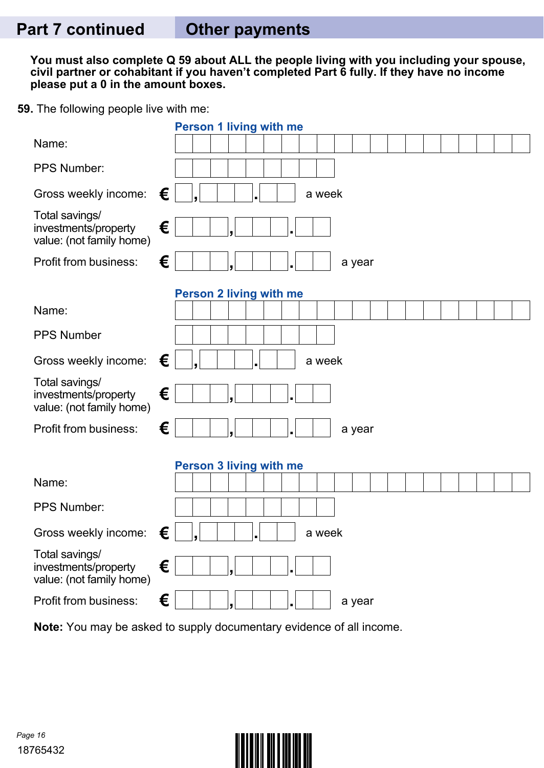**You must also complete Q 59 about ALL the people living with you including your spouse, civil partner or cohabitant if you haven't completed Part 6 fully. If they have no income please put a 0 in the amount boxes.**

**59.** The following people live with me:

|                                                                    |   | <b>Person 1 living with me</b> |
|--------------------------------------------------------------------|---|--------------------------------|
| Name:                                                              |   |                                |
| PPS Number:                                                        |   |                                |
| Gross weekly income:                                               | € | a week                         |
| Total savings/<br>investments/property<br>value: (not family home) | € |                                |
| Profit from business:                                              | € | a year                         |
|                                                                    |   | <b>Person 2 living with me</b> |
| Name:                                                              |   |                                |
| <b>PPS Number</b>                                                  |   |                                |
| Gross weekly income:                                               | € | a week                         |
| Total savings/<br>investments/property<br>value: (not family home) | € |                                |
| <b>Profit from business:</b>                                       | € | a year                         |
|                                                                    |   | <b>Person 3 living with me</b> |
| Name:                                                              |   |                                |
| PPS Number:                                                        |   |                                |
| Gross weekly income:                                               | € | a week                         |
| Total savings/<br>investments/property<br>value: (not family home) | € |                                |
| Profit from business:                                              | € | a year                         |

**Note:** You may be asked to supply documentary evidence of all income.

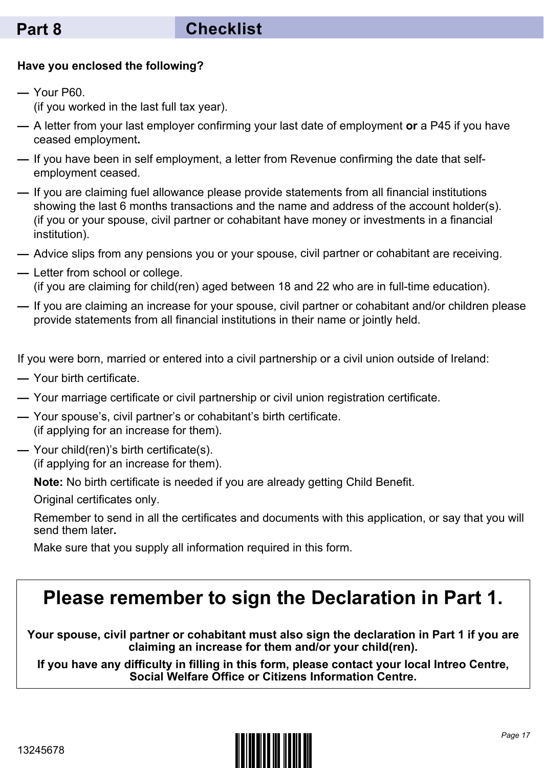#### **Have you enclosed the following?**

- **—** Your P60. (if you worked in the last full tax year).
- **—** A letter from your last employer confirming your last date of employment **or** a P45 if you have ceased employment**.**
- **—** If you have been in self employment, a letter from Revenue confirming the date that selfemployment ceased.
- **—** If you are claiming fuel allowance please provide statements from all financial institutions showing the last 6 months transactions and the name and address of the account holder(s). (if you or your spouse, civil partner or cohabitant have money or investments in a financial institution).
- **—** Advice slips from any pensions you or your spouse, civil partner or cohabitant are receiving.
- **—** Letter from school or college. (if you are claiming for child(ren) aged between 18 and 22 who are in full-time education).
- **—** If you are claiming an increase for your spouse, civil partner or cohabitant and/or children please provide statements from all financial institutions in their name or jointly held.

If you were born, married or entered into a civil partnership or a civil union outside of Ireland:

- **—** Your birth certificate.
- **—** Your marriage certificate or civil partnership or civil union registration certificate.
- **—** Your spouse's, civil partner's or cohabitant's birth certificate. (if applying for an increase for them).
- **—** Your child(ren)'s birth certificate(s). (if applying for an increase for them).

**Note:** No birth certificate is needed if you are already getting Child Benefit.

Original certificates only.

Remember to send in all the certificates and documents with this application, or say that you will send them later**.**

Make sure that you supply all information required in this form.

## **Please remember to sign the Declaration in Part 1.**

**Your spouse, civil partner or cohabitant must also sign the declaration in Part 1 if you are claiming an increase for them and/or your child(ren).**

**If you have any difficulty in filling in this form, please contact your local Intreo Centre, Social Welfare Office or Citizens Information Centre.**